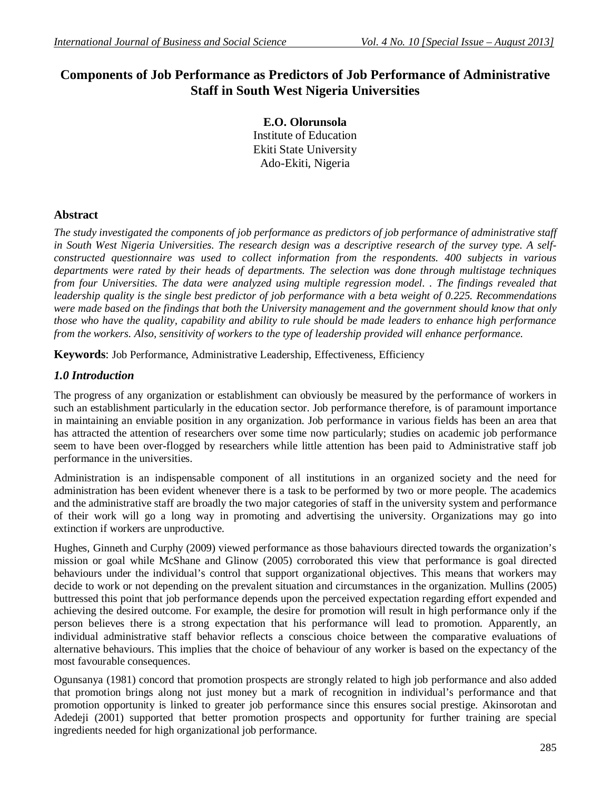# **Components of Job Performance as Predictors of Job Performance of Administrative Staff in South West Nigeria Universities**

**E.O. Olorunsola** Institute of Education Ekiti State University Ado-Ekiti, Nigeria

## **Abstract**

*The study investigated the components of job performance as predictors of job performance of administrative staff in South West Nigeria Universities. The research design was a descriptive research of the survey type. A selfconstructed questionnaire was used to collect information from the respondents. 400 subjects in various departments were rated by their heads of departments. The selection was done through multistage techniques from four Universities. The data were analyzed using multiple regression model. . The findings revealed that leadership quality is the single best predictor of job performance with a beta weight of 0.225. Recommendations were made based on the findings that both the University management and the government should know that only those who have the quality, capability and ability to rule should be made leaders to enhance high performance from the workers. Also, sensitivity of workers to the type of leadership provided will enhance performance.*

**Keywords**: Job Performance, Administrative Leadership, Effectiveness, Efficiency

## *1.0 Introduction*

The progress of any organization or establishment can obviously be measured by the performance of workers in such an establishment particularly in the education sector. Job performance therefore, is of paramount importance in maintaining an enviable position in any organization. Job performance in various fields has been an area that has attracted the attention of researchers over some time now particularly; studies on academic job performance seem to have been over-flogged by researchers while little attention has been paid to Administrative staff job performance in the universities.

Administration is an indispensable component of all institutions in an organized society and the need for administration has been evident whenever there is a task to be performed by two or more people. The academics and the administrative staff are broadly the two major categories of staff in the university system and performance of their work will go a long way in promoting and advertising the university. Organizations may go into extinction if workers are unproductive.

Hughes, Ginneth and Curphy (2009) viewed performance as those bahaviours directed towards the organization's mission or goal while McShane and Glinow (2005) corroborated this view that performance is goal directed behaviours under the individual's control that support organizational objectives. This means that workers may decide to work or not depending on the prevalent situation and circumstances in the organization. Mullins (2005) buttressed this point that job performance depends upon the perceived expectation regarding effort expended and achieving the desired outcome. For example, the desire for promotion will result in high performance only if the person believes there is a strong expectation that his performance will lead to promotion. Apparently, an individual administrative staff behavior reflects a conscious choice between the comparative evaluations of alternative behaviours. This implies that the choice of behaviour of any worker is based on the expectancy of the most favourable consequences.

Ogunsanya (1981) concord that promotion prospects are strongly related to high job performance and also added that promotion brings along not just money but a mark of recognition in individual's performance and that promotion opportunity is linked to greater job performance since this ensures social prestige. Akinsorotan and Adedeji (2001) supported that better promotion prospects and opportunity for further training are special ingredients needed for high organizational job performance.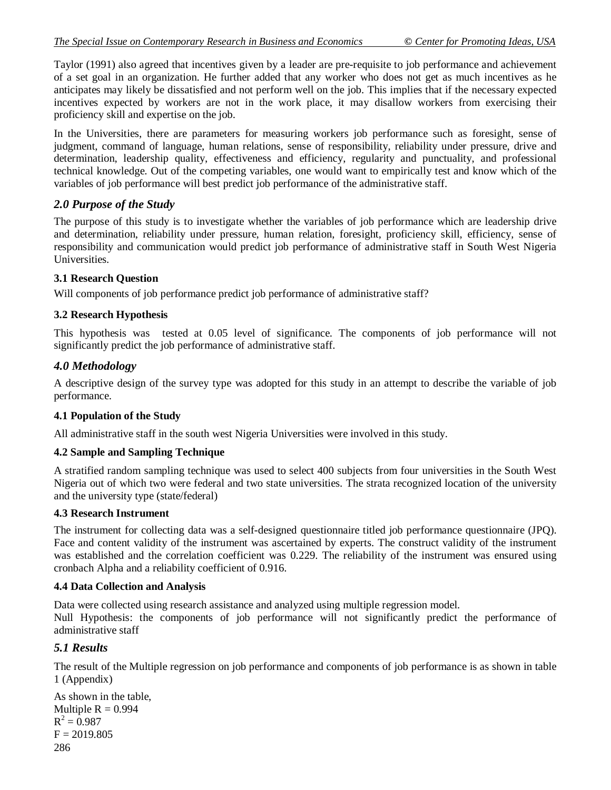Taylor (1991) also agreed that incentives given by a leader are pre-requisite to job performance and achievement of a set goal in an organization. He further added that any worker who does not get as much incentives as he anticipates may likely be dissatisfied and not perform well on the job. This implies that if the necessary expected incentives expected by workers are not in the work place, it may disallow workers from exercising their proficiency skill and expertise on the job.

In the Universities, there are parameters for measuring workers job performance such as foresight, sense of judgment, command of language, human relations, sense of responsibility, reliability under pressure, drive and determination, leadership quality, effectiveness and efficiency, regularity and punctuality, and professional technical knowledge. Out of the competing variables, one would want to empirically test and know which of the variables of job performance will best predict job performance of the administrative staff.

## *2.0 Purpose of the Study*

The purpose of this study is to investigate whether the variables of job performance which are leadership drive and determination, reliability under pressure, human relation, foresight, proficiency skill, efficiency, sense of responsibility and communication would predict job performance of administrative staff in South West Nigeria Universities.

## **3.1 Research Question**

Will components of job performance predict job performance of administrative staff?

## **3.2 Research Hypothesis**

This hypothesis was tested at 0.05 level of significance. The components of job performance will not significantly predict the job performance of administrative staff.

## *4.0 Methodology*

A descriptive design of the survey type was adopted for this study in an attempt to describe the variable of job performance.

#### **4.1 Population of the Study**

All administrative staff in the south west Nigeria Universities were involved in this study.

## **4.2 Sample and Sampling Technique**

A stratified random sampling technique was used to select 400 subjects from four universities in the South West Nigeria out of which two were federal and two state universities. The strata recognized location of the university and the university type (state/federal)

#### **4.3 Research Instrument**

The instrument for collecting data was a self-designed questionnaire titled job performance questionnaire (JPQ). Face and content validity of the instrument was ascertained by experts. The construct validity of the instrument was established and the correlation coefficient was 0.229. The reliability of the instrument was ensured using cronbach Alpha and a reliability coefficient of 0.916.

#### **4.4 Data Collection and Analysis**

Data were collected using research assistance and analyzed using multiple regression model.

Null Hypothesis: the components of job performance will not significantly predict the performance of administrative staff

## *5.1 Results*

The result of the Multiple regression on job performance and components of job performance is as shown in table 1 (Appendix)

```
286
As shown in the table, 
Multiple R = 0.994R^2 = 0.987F = 2019.805
```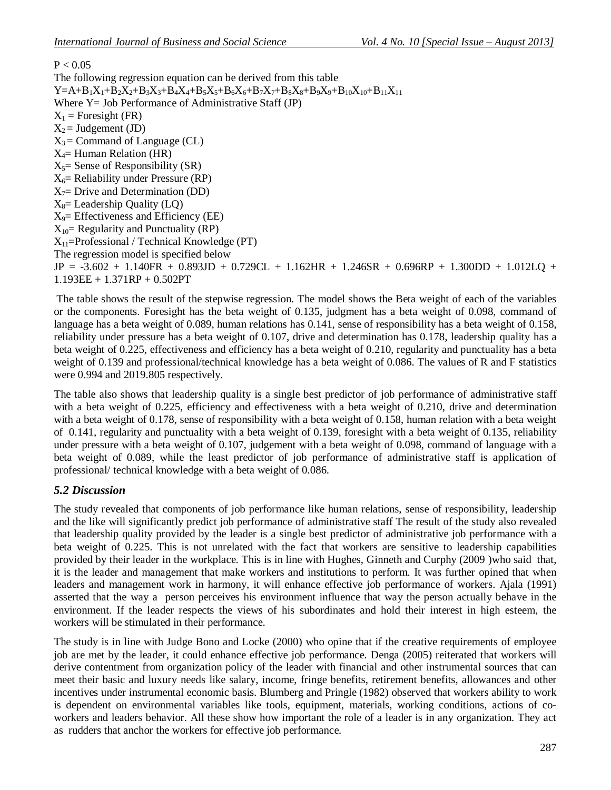## $P < 0.05$

The following regression equation can be derived from this table  $Y=A+B_1X_1+B_2X_2+B_3X_3+B_4X_4+B_5X_5+B_6X_6+B_7X_7+B_8X_8+B_9X_9+B_{10}X_{10}+B_{11}X_{11}$ Where Y = Job Performance of Administrative Staff (JP)  $X_1$  = Foresight (FR)  $X_2$  = Judgement (JD)  $X_3$  = Command of Language (CL)  $X_4$ = Human Relation (HR)  $X<sub>5</sub>=$  Sense of Responsibility (SR)  $X_6$ = Reliability under Pressure (RP)  $X_7$ = Drive and Determination (DD)  $X_8$ = Leadership Quality (LQ)  $X_9$ = Effectiveness and Efficiency (EE)  $X_{10}$  Regularity and Punctuality (RP)  $X_{11}$ =Professional / Technical Knowledge (PT) The regression model is specified below  $JP = -3.602 + 1.140FR + 0.893JD + 0.729CL + 1.162HR + 1.246SR + 0.696RP + 1.300DD + 1.012LQ +$ 1.193EE + 1.371RP + 0.502PT

The table shows the result of the stepwise regression. The model shows the Beta weight of each of the variables or the components. Foresight has the beta weight of 0.135, judgment has a beta weight of 0.098, command of language has a beta weight of 0.089, human relations has 0.141, sense of responsibility has a beta weight of 0.158, reliability under pressure has a beta weight of 0.107, drive and determination has 0.178, leadership quality has a beta weight of 0.225, effectiveness and efficiency has a beta weight of 0.210, regularity and punctuality has a beta weight of 0.139 and professional/technical knowledge has a beta weight of 0.086. The values of R and F statistics were 0.994 and 2019.805 respectively.

The table also shows that leadership quality is a single best predictor of job performance of administrative staff with a beta weight of 0.225, efficiency and effectiveness with a beta weight of 0.210, drive and determination with a beta weight of 0.178, sense of responsibility with a beta weight of 0.158, human relation with a beta weight of 0.141, regularity and punctuality with a beta weight of 0.139, foresight with a beta weight of 0.135, reliability under pressure with a beta weight of 0.107, judgement with a beta weight of 0.098, command of language with a beta weight of 0.089, while the least predictor of job performance of administrative staff is application of professional/ technical knowledge with a beta weight of 0.086.

## *5.2 Discussion*

The study revealed that components of job performance like human relations, sense of responsibility, leadership and the like will significantly predict job performance of administrative staff The result of the study also revealed that leadership quality provided by the leader is a single best predictor of administrative job performance with a beta weight of 0.225. This is not unrelated with the fact that workers are sensitive to leadership capabilities provided by their leader in the workplace. This is in line with Hughes, Ginneth and Curphy (2009 )who said that, it is the leader and management that make workers and institutions to perform. It was further opined that when leaders and management work in harmony, it will enhance effective job performance of workers. Ajala (1991) asserted that the way a person perceives his environment influence that way the person actually behave in the environment. If the leader respects the views of his subordinates and hold their interest in high esteem, the workers will be stimulated in their performance.

The study is in line with Judge Bono and Locke (2000) who opine that if the creative requirements of employee job are met by the leader, it could enhance effective job performance. Denga (2005) reiterated that workers will derive contentment from organization policy of the leader with financial and other instrumental sources that can meet their basic and luxury needs like salary, income, fringe benefits, retirement benefits, allowances and other incentives under instrumental economic basis. Blumberg and Pringle (1982) observed that workers ability to work is dependent on environmental variables like tools, equipment, materials, working conditions, actions of coworkers and leaders behavior. All these show how important the role of a leader is in any organization. They act as rudders that anchor the workers for effective job performance.